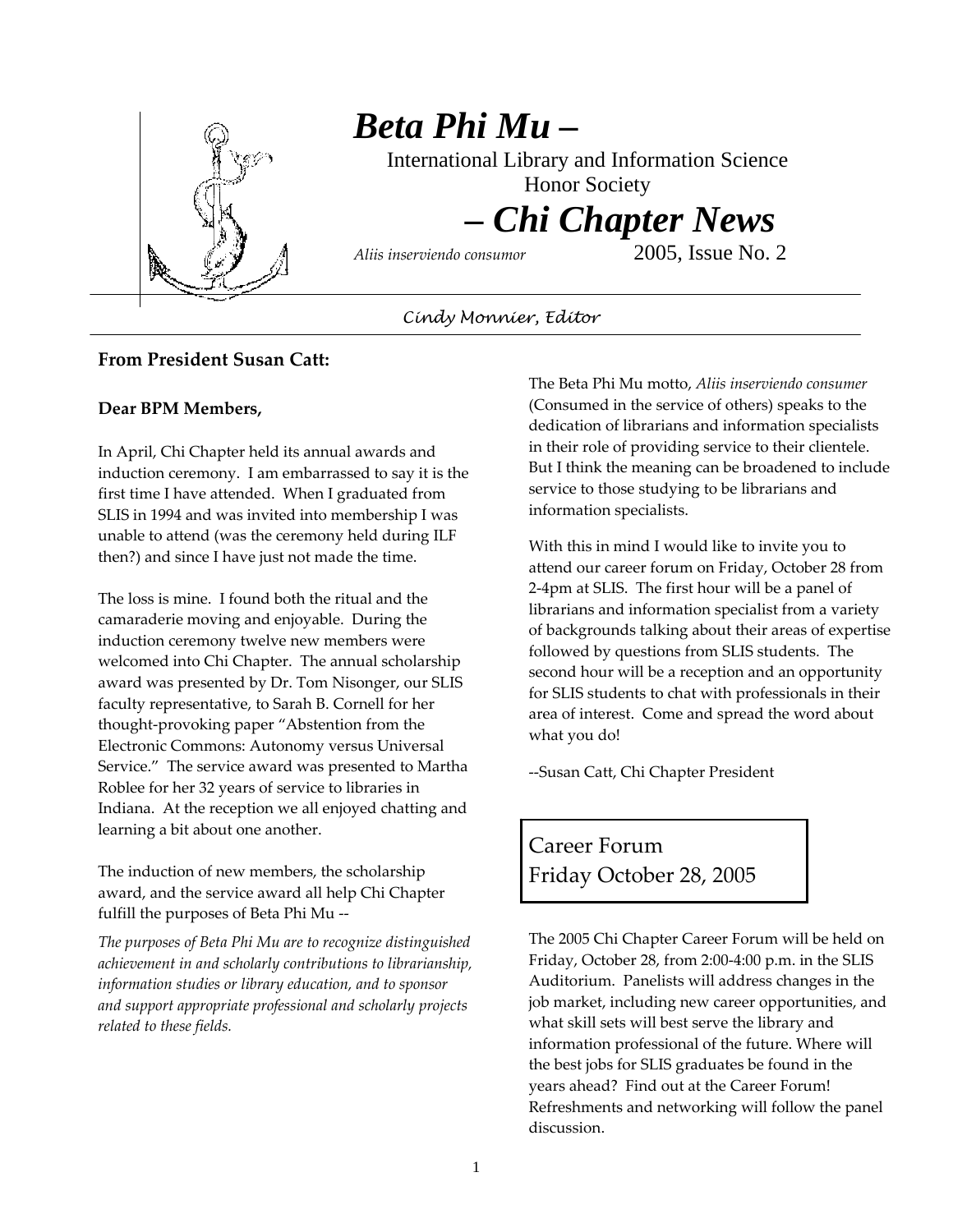

# *Beta Phi Mu –*

International Library and Information Science

Honor Society

# *– Chi Chapter News*

*Aliis inserviendo consumor* 2005, Issue No. 2

*Cindy Monnier, Editor* 

#### **From President Susan Catt:**

#### **Dear BPM Members,**

In April, Chi Chapter held its annual awards and induction ceremony. I am embarrassed to say it is the first time I have attended. When I graduated from SLIS in 1994 and was invited into membership I was unable to attend (was the ceremony held during ILF then?) and since I have just not made the time.

The loss is mine. I found both the ritual and the camaraderie moving and enjoyable. During the induction ceremony twelve new members were welcomed into Chi Chapter. The annual scholarship award was presented by Dr. Tom Nisonger, our SLIS faculty representative, to Sarah B. Cornell for her thought‐provoking paper "Abstention from the Electronic Commons: Autonomy versus Universal Service." The service award was presented to Martha Roblee for her 32 years of service to libraries in Indiana. At the reception we all enjoyed chatting and learning a bit about one another.

The induction of new members, the scholarship award, and the service award all help Chi Chapter fulfill the purposes of Beta Phi Mu ‐‐

*The purposes of Beta Phi Mu are to recognize distinguished achievement in and scholarly contributions to librarianship, information studies or library education, and to sponsor and support appropriate professional and scholarly projects related to these fields.*

The Beta Phi Mu motto, *Aliis inserviendo consumer* (Consumed in the service of others) speaks to the dedication of librarians and information specialists in their role of providing service to their clientele. But I think the meaning can be broadened to include service to those studying to be librarians and information specialists.

With this in mind I would like to invite you to attend our career forum on Friday, October 28 from 2‐4pm at SLIS. The first hour will be a panel of librarians and information specialist from a variety of backgrounds talking about their areas of expertise followed by questions from SLIS students. The second hour will be a reception and an opportunity for SLIS students to chat with professionals in their area of interest. Come and spread the word about what you do!

‐‐Susan Catt, Chi Chapter President

# Career Forum Friday October 28, 2005

The 2005 Chi Chapter Career Forum will be held on Friday, October 28, from 2:00‐4:00 p.m. in the SLIS Auditorium. Panelists will address changes in the job market, including new career opportunities, and what skill sets will best serve the library and information professional of the future. Where will the best jobs for SLIS graduates be found in the years ahead? Find out at the Career Forum! Refreshments and networking will follow the panel discussion.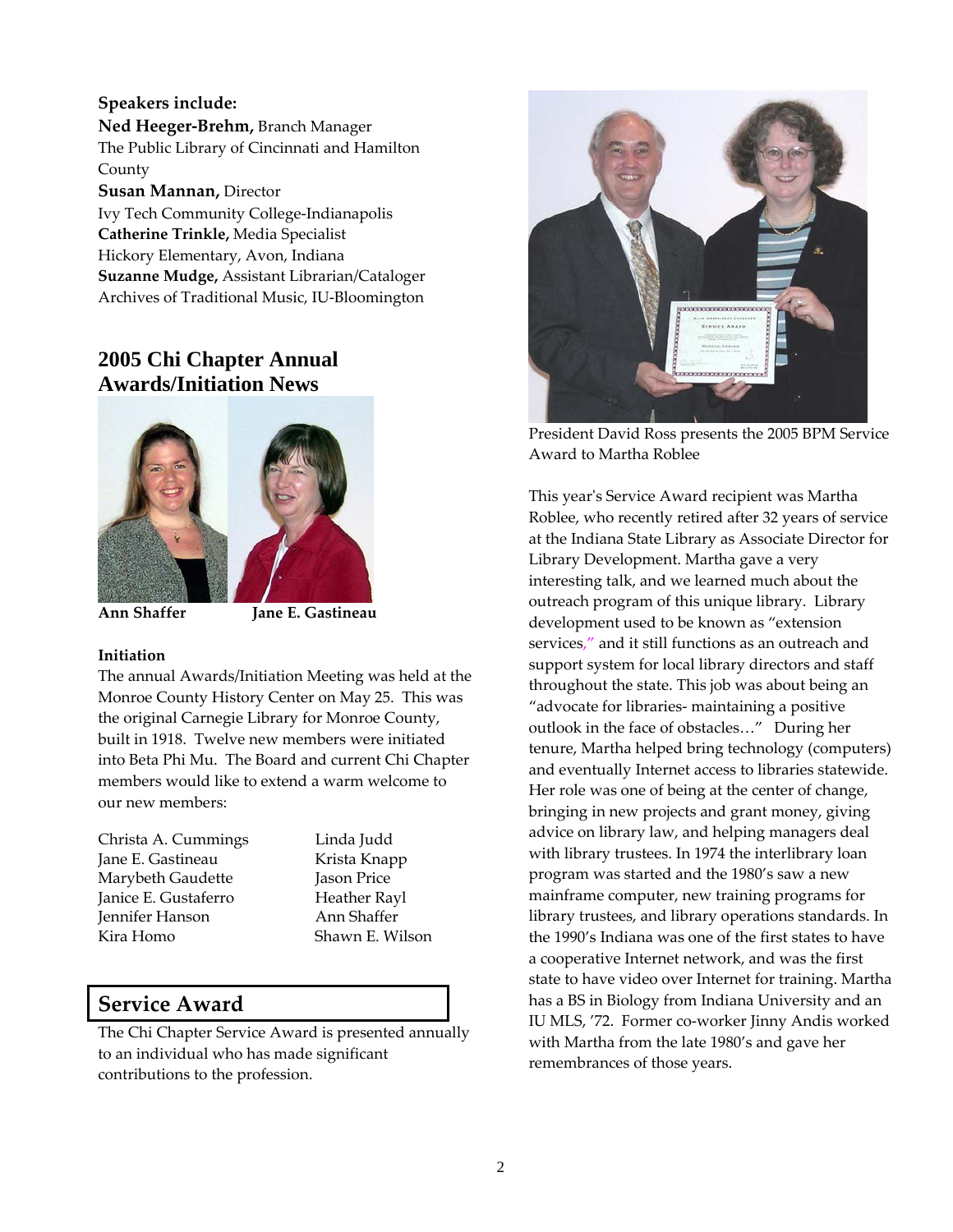#### **Speakers include: Ned Heeger‐Brehm,** Branch Manager The Public Library of Cincinnati and Hamilton County **Susan Mannan,** Director Ivy Tech Community College‐Indianapolis **Catherine Trinkle,** Media Specialist Hickory Elementary, Avon, Indiana **Suzanne Mudge,** Assistant Librarian/Cataloger

Archives of Traditional Music, IU‐Bloomington

## **2005 Chi Chapter Annual Awards/Initiation News**



**Ann Shaffer Jane E. Gastineau** 

#### **Initiation**

The annual Awards/Initiation Meeting was held at the Monroe County History Center on May 25. This was the original Carnegie Library for Monroe County, built in 1918. Twelve new members were initiated into Beta Phi Mu. The Board and current Chi Chapter members would like to extend a warm welcome to our new members:

Christa A. Cummings Linda Judd Jane E. Gastineau Krista Knapp Marybeth Gaudette Jason Price Janice E. Gustaferro Heather Rayl Jennifer Hanson Ann Shaffer Kira Homo Shawn E. Wilson

## **Service Award**

The Chi Chapter Service Award is presented annually to an individual who has made significant contributions to the profession.



President David Ross presents the 2005 BPM Service Award to Martha Roblee

This yearʹs Service Award recipient was Martha Roblee, who recently retired after 32 years of service at the Indiana State Library as Associate Director for Library Development. Martha gave a very interesting talk, and we learned much about the outreach program of this unique library. Library development used to be known as "extension services," and it still functions as an outreach and support system for local library directors and staff throughout the state. This job was about being an "advocate for libraries‐ maintaining a positive outlook in the face of obstacles…" During her tenure, Martha helped bring technology (computers) and eventually Internet access to libraries statewide. Her role was one of being at the center of change, bringing in new projects and grant money, giving advice on library law, and helping managers deal with library trustees. In 1974 the interlibrary loan program was started and the 1980's saw a new mainframe computer, new training programs for library trustees, and library operations standards. In the 1990's Indiana was one of the first states to have a cooperative Internet network, and was the first state to have video over Internet for training. Martha has a BS in Biology from Indiana University and an IU MLS, '72. Former co‐worker Jinny Andis worked with Martha from the late 1980's and gave her remembrances of those years.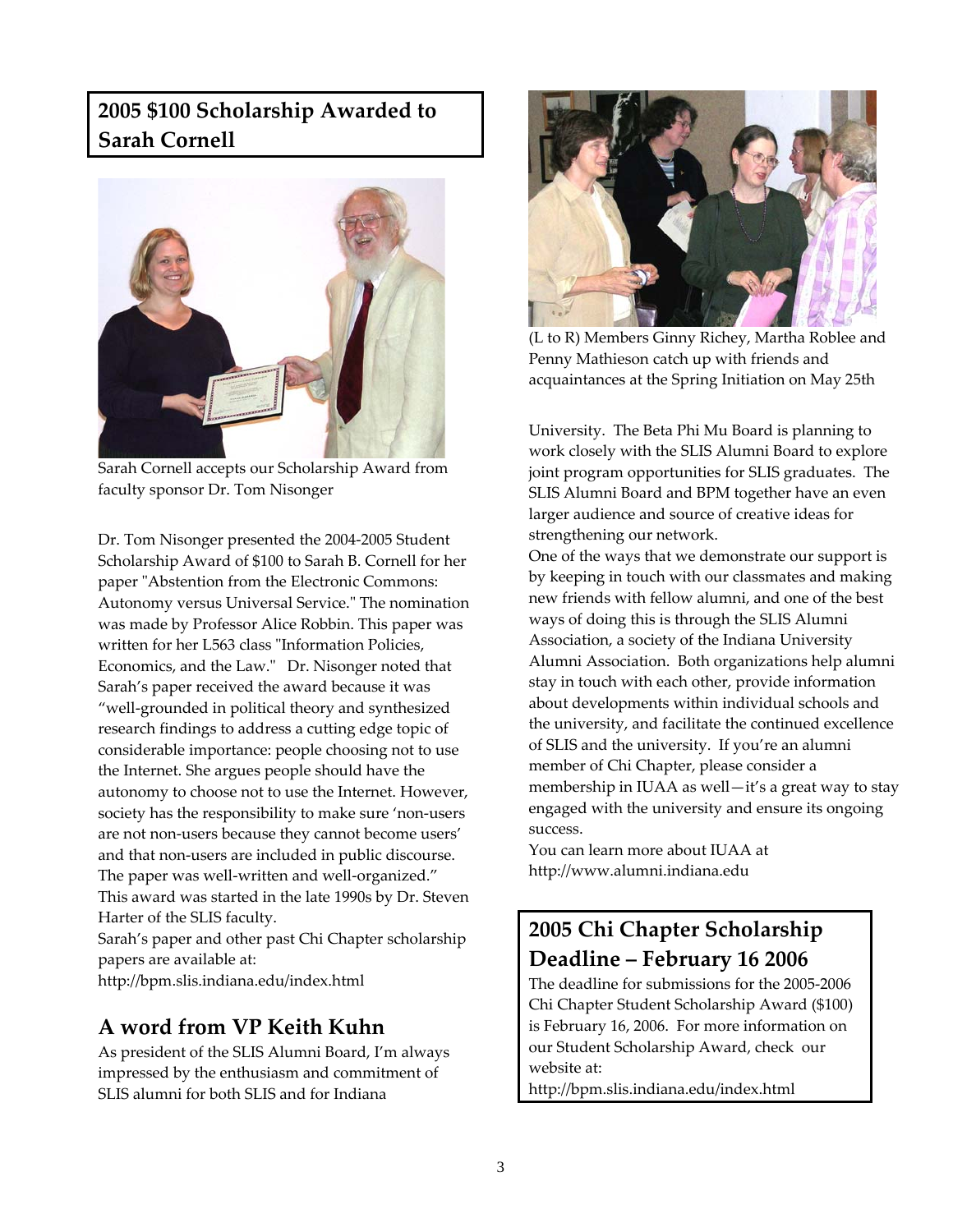## **2005 \$100 Scholarship Awarded to Sarah Cornell**



Sarah Cornell accepts our Scholarship Award from faculty sponsor Dr. Tom Nisonger

Dr. Tom Nisonger presented the 2004‐2005 Student Scholarship Award of \$100 to Sarah B. Cornell for her paper "Abstention from the Electronic Commons: Autonomy versus Universal Service." The nomination was made by Professor Alice Robbin. This paper was written for her L563 class "Information Policies, Economics, and the Law." Dr. Nisonger noted that Sarah's paper received the award because it was "well‐grounded in political theory and synthesized research findings to address a cutting edge topic of considerable importance: people choosing not to use the Internet. She argues people should have the autonomy to choose not to use the Internet. However, society has the responsibility to make sure 'non‐users are not non‐users because they cannot become users' and that non‐users are included in public discourse. The paper was well-written and well-organized." This award was started in the late 1990s by Dr. Steven Harter of the SLIS faculty. Sarah's paper and other past Chi Chapter scholarship papers are available at:

http://bpm.slis.indiana.edu/index.html

## **A word from VP Keith Kuhn**

As president of the SLIS Alumni Board, I'm always impressed by the enthusiasm and commitment of SLIS alumni for both SLIS and for Indiana



(L to R) Members Ginny Richey, Martha Roblee and Penny Mathieson catch up with friends and acquaintances at the Spring Initiation on May 25th

University. The Beta Phi Mu Board is planning to work closely with the SLIS Alumni Board to explore joint program opportunities for SLIS graduates. The SLIS Alumni Board and BPM together have an even larger audience and source of creative ideas for strengthening our network.

One of the ways that we demonstrate our support is by keeping in touch with our classmates and making new friends with fellow alumni, and one of the best ways of doing this is through the SLIS Alumni Association, a society of the Indiana University Alumni Association. Both organizations help alumni stay in touch with each other, provide information about developments within individual schools and the university, and facilitate the continued excellence of SLIS and the university. If you're an alumni member of Chi Chapter, please consider a membership in IUAA as well—it's a great way to stay engaged with the university and ensure its ongoing success.

You can learn more about IUAA at http://www.alumni.indiana.edu

# **2005 Chi Chapter Scholarship Deadline – February 16 2006**

The deadline for submissions for the 2005‐2006 Chi Chapter Student Scholarship Award (\$100) is February 16, 2006. For more information on our Student Scholarship Award, check our website at: http://bpm.slis.indiana.edu/index.html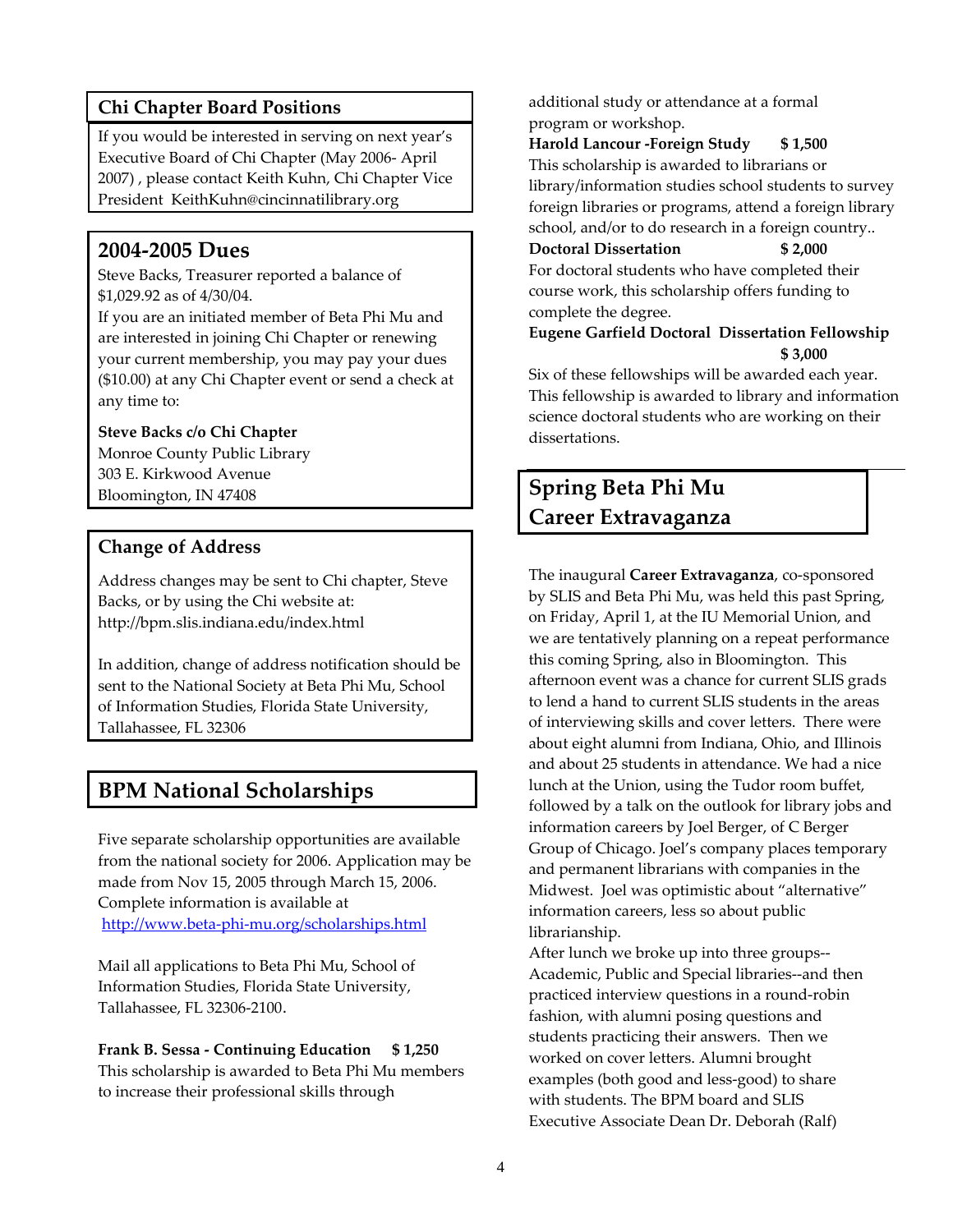### **Chi Chapter Board Positions**

If you would be interested in serving on next year's Executive Board of Chi Chapter (May 2006‐ April 2007) , please contact Keith Kuhn, Chi Chapter Vice President KeithKuhn@cincinnatilibrary.org

## **2004‐2005 Dues**

Steve Backs, Treasurer reported a balance of \$1,029.92 as of 4/30/04.

If you are an initiated member of Beta Phi Mu and are interested in joining Chi Chapter or renewing your current membership, you may pay your dues (\$10.00) at any Chi Chapter event or send a check at any time to:

#### **Steve Backs c/o Chi Chapter**

Monroe County Public Library 303 E. Kirkwood Avenue Bloomington, IN 47408

#### **Change of Address**

Address changes may be sent to Chi chapter, Steve Backs, or by using the Chi website at: http://bpm.slis.indiana.edu/index.html

In addition, change of address notification should be sent to the National Society at Beta Phi Mu, School of Information Studies, Florida State University, Tallahassee, FL 32306

## **BPM National Scholarships**

Five separate scholarship opportunities are available from the national society for 2006. Application may be made from Nov 15, 2005 through March 15, 2006. Complete information is available at http://www.beta‐phi‐mu.org/scholarships.html

Mail all applications to Beta Phi Mu, School of Information Studies, Florida State University, Tallahassee, FL 32306‐2100.

**Frank B. Sessa ‐ Continuing Education \$ 1,250** This scholarship is awarded to Beta Phi Mu members to increase their professional skills through

additional study or attendance at a formal program or workshop.

**Harold Lancour ‐Foreign Study \$ 1,500** This scholarship is awarded to librarians or library/information studies school students to survey foreign libraries or programs, attend a foreign library school, and/or to do research in a foreign country..

### **Doctoral Dissertation \$ 2,000**

For doctoral students who have completed their course work, this scholarship offers funding to complete the degree.

**Eugene Garfield Doctoral Dissertation Fellowship \$ 3,000**

Six of these fellowships will be awarded each year. This fellowship is awarded to library and information science doctoral students who are working on their dissertations.

## **Spring Beta Phi Mu Career Extravaganza**

The inaugural **Career Extravaganza**, co‐sponsored by SLIS and Beta Phi Mu, was held this past Spring, on Friday, April 1, at the IU Memorial Union, and we are tentatively planning on a repeat performance this coming Spring, also in Bloomington. This afternoon event was a chance for current SLIS grads to lend a hand to current SLIS students in the areas of interviewing skills and cover letters. There were about eight alumni from Indiana, Ohio, and Illinois and about 25 students in attendance. We had a nice lunch at the Union, using the Tudor room buffet, followed by a talk on the outlook for library jobs and information careers by Joel Berger, of C Berger Group of Chicago. Joel's company places temporary and permanent librarians with companies in the Midwest. Joel was optimistic about "alternative" information careers, less so about public librarianship.

After lunch we broke up into three groups‐‐ Academic, Public and Special libraries‐‐and then practiced interview questions in a round‐robin fashion, with alumni posing questions and students practicing their answers. Then we worked on cover letters. Alumni brought examples (both good and less‐good) to share with students. The BPM board and SLIS Executive Associate Dean Dr. Deborah (Ralf)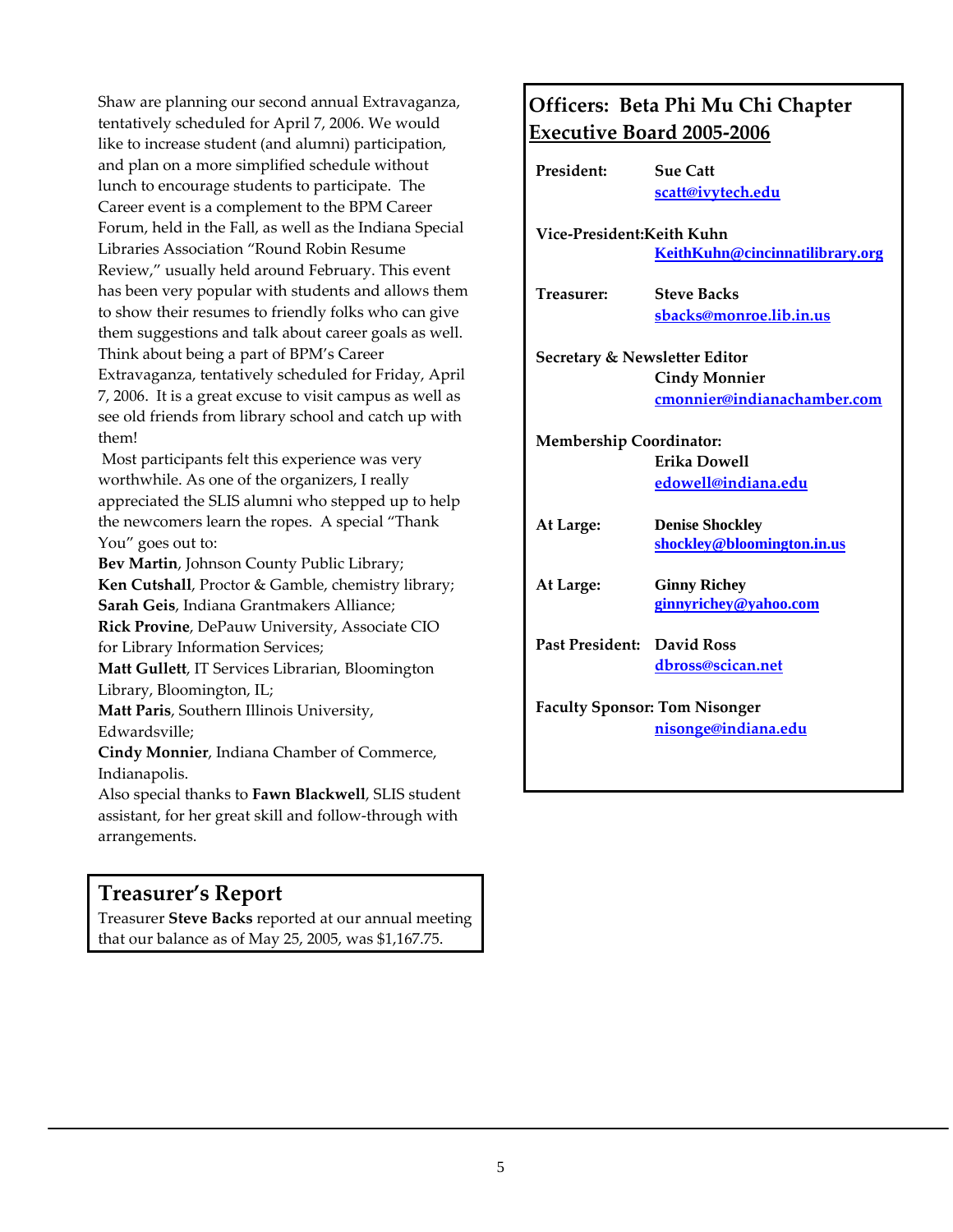Shaw are planning our second annual Extravaganza, tentatively scheduled for April 7, 2006. We would like to increase student (and alumni) participation, and plan on a more simplified schedule without lunch to encourage students to participate. The Career event is a complement to the BPM Career Forum, held in the Fall, as well as the Indiana Special Libraries Association "Round Robin Resume Review," usually held around February. This event has been very popular with students and allows them to show their resumes to friendly folks who can give them suggestions and talk about career goals as well. Think about being a part of BPM's Career Extravaganza, tentatively scheduled for Friday, April 7, 2006. It is a great excuse to visit campus as well as see old friends from library school and catch up with them!

Most participants felt this experience was very worthwhile. As one of the organizers, I really appreciated the SLIS alumni who stepped up to help the newcomers learn the ropes. A special "Thank You" goes out to:

**Bev Martin**, Johnson County Public Library; **Ken Cutshall**, Proctor & Gamble, chemistry library; **Sarah Geis**, Indiana Grantmakers Alliance; **Rick Provine**, DePauw University, Associate CIO for Library Information Services; **Matt Gullett**, IT Services Librarian, Bloomington Library, Bloomington, IL; **Matt Paris**, Southern Illinois University, Edwardsville;

**Cindy Monnier**, Indiana Chamber of Commerce, Indianapolis.

Also special thanks to **Fawn Blackwell**, SLIS student assistant, for her great skill and follow‐through with arrangements.

## **Treasurer's Report**

Treasurer **Steve Backs** reported at our annual meeting that our balance as of May 25, 2005, was \$1,167.75.

## **Officers: Beta Phi Mu Chi Chapter Executive Board 2005‐2006**

| President:                               | <b>Sue Catt</b>                 |
|------------------------------------------|---------------------------------|
|                                          | scatt@ivytech.edu               |
| Vice-President:Keith Kuhn                |                                 |
|                                          | KeithKuhn@cincinnatilibrary.org |
| Treasurer:                               | <b>Steve Backs</b>              |
|                                          | sbacks@monroe.lib.in.us         |
| <b>Secretary &amp; Newsletter Editor</b> |                                 |
|                                          | <b>Cindy Monnier</b>            |
|                                          | cmonnier@indianachamber.com     |
| <b>Membership Coordinator:</b>           |                                 |
|                                          | <b>Erika Dowell</b>             |
|                                          | edowell@indiana.edu             |
| At Large:                                | <b>Denise Shockley</b>          |
|                                          | shockley@bloomington.in.us      |
| At Large:                                | <b>Ginny Richey</b>             |
|                                          | ginnyrichey@yahoo.com           |
| Past President:                          | David Ross                      |
|                                          | dbross@scican.net               |
| <b>Faculty Sponsor: Tom Nisonger</b>     |                                 |
|                                          | nisonge@indiana.edu             |